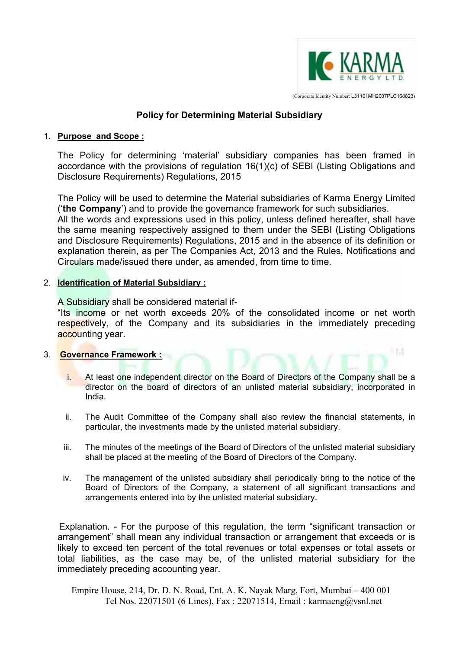

(Corporate Identity Number: L31101MH2007PLC168823)

l M

# **Policy for Determining Material Subsidiary**

#### 1. **Purpose and Scope :**

The Policy for determining 'material' subsidiary companies has been framed in accordance with the provisions of regulation 16(1)(c) of SEBI (Listing Obligations and Disclosure Requirements) Regulations, 2015

The Policy will be used to determine the Material subsidiaries of Karma Energy Limited ('**the Company**') and to provide the governance framework for such subsidiaries. All the words and expressions used in this policy, unless defined hereafter, shall have the same meaning respectively assigned to them under the SEBI (Listing Obligations

and Disclosure Requirements) Regulations, 2015 and in the absence of its definition or explanation therein, as per The Companies Act, 2013 and the Rules, Notifications and Circulars made/issued there under, as amended, from time to time.

## 2. **Identification of Material Subsidiary :**

A Subsidiary shall be considered material if-

"Its income or net worth exceeds 20% of the consolidated income or net worth respectively, of the Company and its subsidiaries in the immediately preceding accounting year.

## 3. **Governance Framework :**

- i. At least one independent director on the Board of Directors of the Company shall be a director on the board of directors of an unlisted material subsidiary, incorporated in India.
- ii. The Audit Committee of the Company shall also review the financial statements, in particular, the investments made by the unlisted material subsidiary.
- iii. The minutes of the meetings of the Board of Directors of the unlisted material subsidiary shall be placed at the meeting of the Board of Directors of the Company.
- iv. The management of the unlisted subsidiary shall periodically bring to the notice of the Board of Directors of the Company, a statement of all significant transactions and arrangements entered into by the unlisted material subsidiary.

 Explanation. - For the purpose of this regulation, the term "significant transaction or arrangement" shall mean any individual transaction or arrangement that exceeds or is likely to exceed ten percent of the total revenues or total expenses or total assets or total liabilities, as the case may be, of the unlisted material subsidiary for the immediately preceding accounting year.

Empire House, 214, Dr. D. N. Road, Ent. A. K. Nayak Marg, Fort, Mumbai – 400 001 Tel Nos. 22071501 (6 Lines), Fax : 22071514, Email : karmaeng@vsnl.net